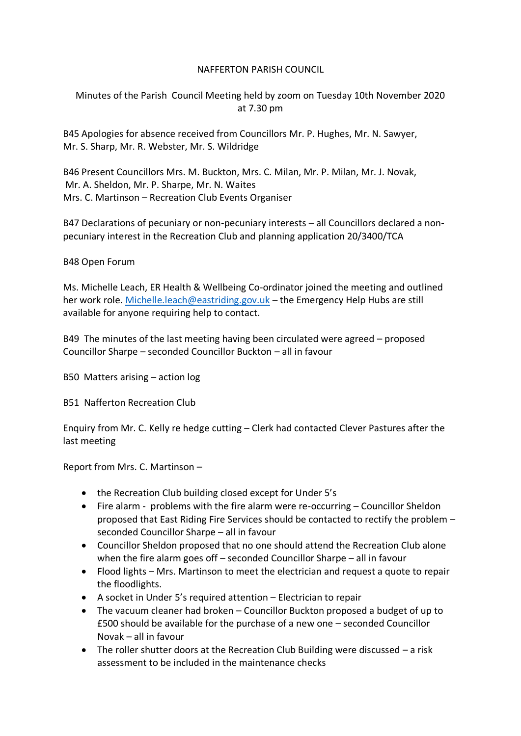## NAFFERTON PARISH COUNCIL

Minutes of the Parish Council Meeting held by zoom on Tuesday 10th November 2020 at 7.30 pm

B45 Apologies for absence received from Councillors Mr. P. Hughes, Mr. N. Sawyer, Mr. S. Sharp, Mr. R. Webster, Mr. S. Wildridge

B46 Present Councillors Mrs. M. Buckton, Mrs. C. Milan, Mr. P. Milan, Mr. J. Novak, Mr. A. Sheldon, Mr. P. Sharpe, Mr. N. Waites Mrs. C. Martinson – Recreation Club Events Organiser

B47 Declarations of pecuniary or non-pecuniary interests – all Councillors declared a nonpecuniary interest in the Recreation Club and planning application 20/3400/TCA

## B48 Open Forum

Ms. Michelle Leach, ER Health & Wellbeing Co-ordinator joined the meeting and outlined her work role. [Michelle.leach@eastriding.gov.uk](mailto:Michelle.leach@eastriding.gov.uk) – the Emergency Help Hubs are still available for anyone requiring help to contact.

B49 The minutes of the last meeting having been circulated were agreed – proposed Councillor Sharpe – seconded Councillor Buckton – all in favour

B50 Matters arising – action log

B51 Nafferton Recreation Club

Enquiry from Mr. C. Kelly re hedge cutting – Clerk had contacted Clever Pastures after the last meeting

Report from Mrs. C. Martinson –

- the Recreation Club building closed except for Under 5's
- Fire alarm problems with the fire alarm were re-occurring Councillor Sheldon proposed that East Riding Fire Services should be contacted to rectify the problem – seconded Councillor Sharpe – all in favour
- Councillor Sheldon proposed that no one should attend the Recreation Club alone when the fire alarm goes off – seconded Councillor Sharpe – all in favour
- Flood lights Mrs. Martinson to meet the electrician and request a quote to repair the floodlights.
- A socket in Under 5's required attention Electrician to repair
- The vacuum cleaner had broken Councillor Buckton proposed a budget of up to £500 should be available for the purchase of a new one – seconded Councillor Novak – all in favour
- The roller shutter doors at the Recreation Club Building were discussed a risk assessment to be included in the maintenance checks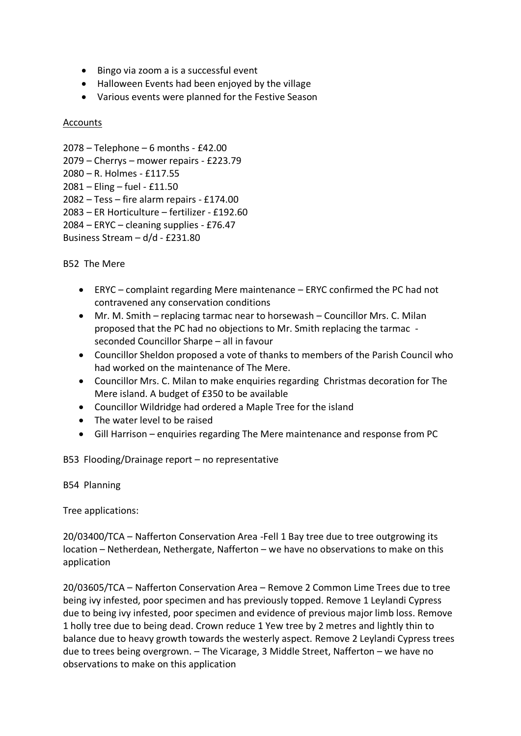- Bingo via zoom a is a successful event
- Halloween Events had been enjoyed by the village
- Various events were planned for the Festive Season

## Accounts

```
2078 – Telephone – 6 months - £42.00
2079 – Cherrys – mower repairs - £223.79
2080 – R. Holmes - £117.55
2081 – Eling – fuel - £11.50
2082 – Tess – fire alarm repairs - £174.00
2083 – ER Horticulture – fertilizer - £192.60
2084 – ERYC – cleaning supplies - £76.47
Business Stream – d/d - £231.80
```
B52 The Mere

- ERYC complaint regarding Mere maintenance ERYC confirmed the PC had not contravened any conservation conditions
- Mr. M. Smith replacing tarmac near to horsewash Councillor Mrs. C. Milan proposed that the PC had no objections to Mr. Smith replacing the tarmac seconded Councillor Sharpe – all in favour
- Councillor Sheldon proposed a vote of thanks to members of the Parish Council who had worked on the maintenance of The Mere.
- Councillor Mrs. C. Milan to make enquiries regarding Christmas decoration for The Mere island. A budget of £350 to be available
- Councillor Wildridge had ordered a Maple Tree for the island
- The water level to be raised
- Gill Harrison enquiries regarding The Mere maintenance and response from PC

B53 Flooding/Drainage report – no representative

B54 Planning

Tree applications:

20/03400/TCA – Nafferton Conservation Area -Fell 1 Bay tree due to tree outgrowing its location – Netherdean, Nethergate, Nafferton – we have no observations to make on this application

20/03605/TCA – Nafferton Conservation Area – Remove 2 Common Lime Trees due to tree being ivy infested, poor specimen and has previously topped. Remove 1 Leylandi Cypress due to being ivy infested, poor specimen and evidence of previous major limb loss. Remove 1 holly tree due to being dead. Crown reduce 1 Yew tree by 2 metres and lightly thin to balance due to heavy growth towards the westerly aspect. Remove 2 Leylandi Cypress trees due to trees being overgrown. – The Vicarage, 3 Middle Street, Nafferton – we have no observations to make on this application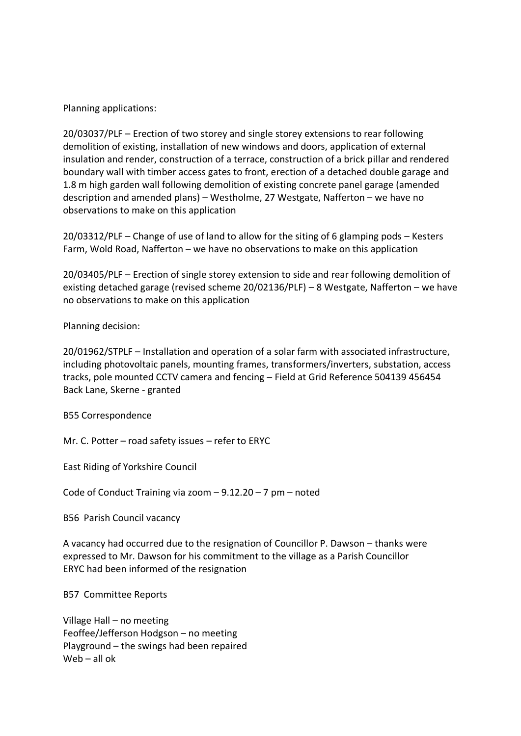Planning applications:

20/03037/PLF – Erection of two storey and single storey extensions to rear following demolition of existing, installation of new windows and doors, application of external insulation and render, construction of a terrace, construction of a brick pillar and rendered boundary wall with timber access gates to front, erection of a detached double garage and 1.8 m high garden wall following demolition of existing concrete panel garage (amended description and amended plans) – Westholme, 27 Westgate, Nafferton – we have no observations to make on this application

20/03312/PLF – Change of use of land to allow for the siting of 6 glamping pods – Kesters Farm, Wold Road, Nafferton – we have no observations to make on this application

20/03405/PLF – Erection of single storey extension to side and rear following demolition of existing detached garage (revised scheme 20/02136/PLF) – 8 Westgate, Nafferton – we have no observations to make on this application

Planning decision:

20/01962/STPLF – Installation and operation of a solar farm with associated infrastructure, including photovoltaic panels, mounting frames, transformers/inverters, substation, access tracks, pole mounted CCTV camera and fencing – Field at Grid Reference 504139 456454 Back Lane, Skerne - granted

B55 Correspondence

Mr. C. Potter – road safety issues – refer to ERYC

East Riding of Yorkshire Council

Code of Conduct Training via zoom – 9.12.20 – 7 pm – noted

B56 Parish Council vacancy

A vacancy had occurred due to the resignation of Councillor P. Dawson – thanks were expressed to Mr. Dawson for his commitment to the village as a Parish Councillor ERYC had been informed of the resignation

B57 Committee Reports

Village Hall – no meeting Feoffee/Jefferson Hodgson – no meeting Playground – the swings had been repaired Web – all ok